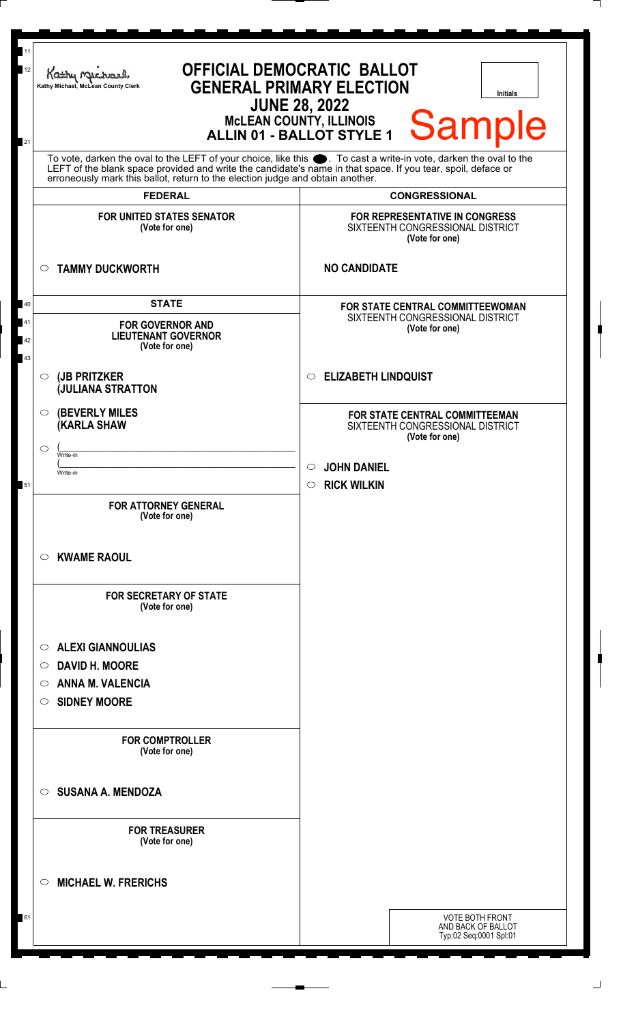| 11<br>12             | <b>OFFICIAL DEMOCRATIC BALLOT</b><br>Kathy Michael<br><b>GENERAL PRIMARY ELECTION</b><br>Kathy Michael, McLean County Clerk<br><b>Initials</b><br><b>JUNE 28, 2022</b><br>Sample<br><b>MCLEAN COUNTY, ILLINOIS</b>                                                                                                                               |                                                                                                                           |  |  |  |
|----------------------|--------------------------------------------------------------------------------------------------------------------------------------------------------------------------------------------------------------------------------------------------------------------------------------------------------------------------------------------------|---------------------------------------------------------------------------------------------------------------------------|--|--|--|
| 21                   | ALLIN 01 - BALLOT STYLE 1<br>To vote, darken the oval to the LEFT of your choice, like this ●. To cast a write-in vote, darken the oval to the<br>LEFT of the blank space provided and write the candidate's name in that space. If you tear, spoil, deface or<br>erroneously mark this ballot, return to the election judge and obtain another. |                                                                                                                           |  |  |  |
|                      | <b>FEDERAL</b>                                                                                                                                                                                                                                                                                                                                   | <b>CONGRESSIONAL</b>                                                                                                      |  |  |  |
|                      | <b>FOR UNITED STATES SENATOR</b><br>(Vote for one)                                                                                                                                                                                                                                                                                               | FOR REPRESENTATIVE IN CONGRESS<br>SIXTEENTH CONGRESSIONAL DISTRICT<br>(Vote for one)                                      |  |  |  |
|                      | <b>TAMMY DUCKWORTH</b><br>$\circ$                                                                                                                                                                                                                                                                                                                | <b>NO CANDIDATE</b>                                                                                                       |  |  |  |
| 40<br>41<br>42<br>43 | <b>STATE</b><br><b>FOR GOVERNOR AND</b><br><b>LIEUTENANT GOVERNOR</b><br>(Vote for one)                                                                                                                                                                                                                                                          | FOR STATE CENTRAL COMMITTEEWOMAN<br>SIXTEENTH CONGRESSIONAL DISTRICT<br>(Vote for one)<br><b>ELIZABETH LINDQUIST</b><br>O |  |  |  |
|                      | (JB PRITZKER<br>$\circ$<br><b>JULIANA STRATTON</b>                                                                                                                                                                                                                                                                                               |                                                                                                                           |  |  |  |
|                      | <b>(BEVERLY MILES)</b><br>$\circ$<br><b>KARLA SHAW</b><br>$\circ$<br>Write-in<br>Write-in                                                                                                                                                                                                                                                        | FOR STATE CENTRAL COMMITTEEMAN<br>SIXTEENTH CONGRESSIONAL DISTRICT<br>(Vote for one)<br><b>JOHN DANIEL</b>                |  |  |  |
| 51                   | <b>FOR ATTORNEY GENERAL</b><br>(Vote for one)                                                                                                                                                                                                                                                                                                    | <b>RICK WILKIN</b><br>$\circ$                                                                                             |  |  |  |
|                      | <b>KWAME RAOUL</b><br>$\circ$                                                                                                                                                                                                                                                                                                                    |                                                                                                                           |  |  |  |
|                      | <b>FOR SECRETARY OF STATE</b><br>(Vote for one)                                                                                                                                                                                                                                                                                                  |                                                                                                                           |  |  |  |
|                      | <b>ALEXI GIANNOULIAS</b><br>$\circ$                                                                                                                                                                                                                                                                                                              |                                                                                                                           |  |  |  |
|                      | <b>DAVID H. MOORE</b><br>$\circ$                                                                                                                                                                                                                                                                                                                 |                                                                                                                           |  |  |  |
|                      | <b>ANNA M. VALENCIA</b><br>O<br><b>SIDNEY MOORE</b><br>$\circ$                                                                                                                                                                                                                                                                                   |                                                                                                                           |  |  |  |
|                      | <b>FOR COMPTROLLER</b><br>(Vote for one)                                                                                                                                                                                                                                                                                                         |                                                                                                                           |  |  |  |
|                      | <b>SUSANA A. MENDOZA</b><br>$\circ$                                                                                                                                                                                                                                                                                                              |                                                                                                                           |  |  |  |
|                      | <b>FOR TREASURER</b><br>(Vote for one)                                                                                                                                                                                                                                                                                                           |                                                                                                                           |  |  |  |
|                      | <b>MICHAEL W. FRERICHS</b><br>$\circ$                                                                                                                                                                                                                                                                                                            |                                                                                                                           |  |  |  |
| 61                   |                                                                                                                                                                                                                                                                                                                                                  | <b>VOTE BOTH FRONT</b><br>AND BACK OF BALLOT<br>Typ:02 Seq:0001 Spl:01                                                    |  |  |  |

 $\Box$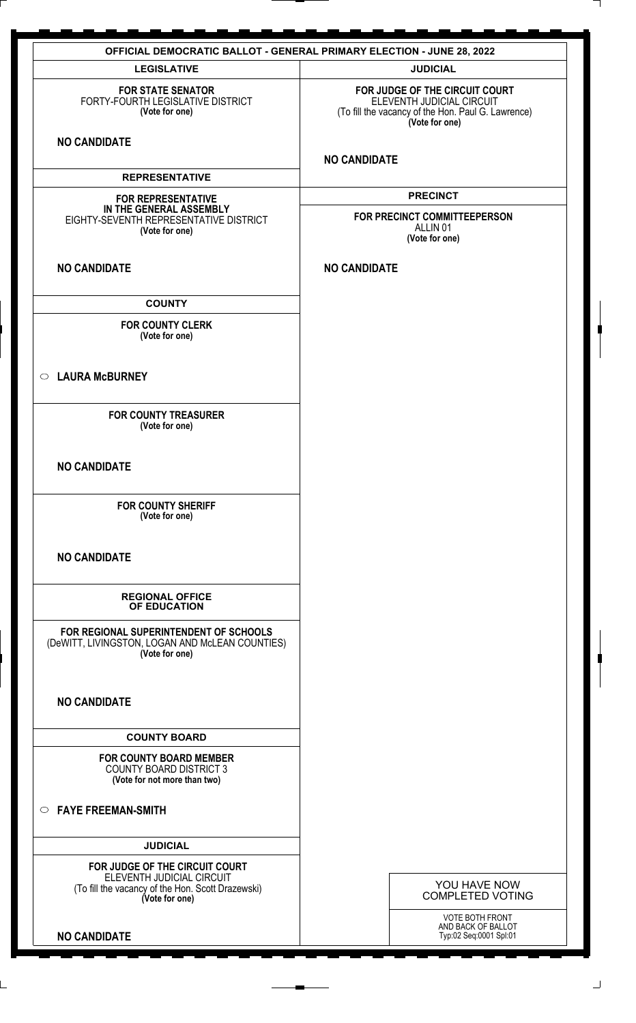| <b>OFFICIAL DEMOCRATIC BALLOT - GENERAL PRIMARY ELECTION - JUNE 28, 2022</b>                                                       |                                                                                                                                     |  |  |  |  |
|------------------------------------------------------------------------------------------------------------------------------------|-------------------------------------------------------------------------------------------------------------------------------------|--|--|--|--|
| <b>LEGISLATIVE</b>                                                                                                                 | <b>JUDICIAL</b>                                                                                                                     |  |  |  |  |
| <b>FOR STATE SENATOR</b><br>FORTY-FOURTH LEGISLATIVE DISTRICT<br>(Vote for one)                                                    | FOR JUDGE OF THE CIRCUIT COURT<br>ELEVENTH JUDICIAL CIRCUIT<br>(To fill the vacancy of the Hon. Paul G. Lawrence)<br>(Vote for one) |  |  |  |  |
| <b>NO CANDIDATE</b>                                                                                                                | <b>NO CANDIDATE</b>                                                                                                                 |  |  |  |  |
| <b>REPRESENTATIVE</b>                                                                                                              |                                                                                                                                     |  |  |  |  |
| <b>FOR REPRESENTATIVE</b><br>IN THE GENERAL ASSEMBLY<br>EIGHTY-SEVENTH REPRESENTATIVE DISTRICT<br>(Vote for one)                   | <b>PRECINCT</b><br>FOR PRECINCT COMMITTEEPERSON<br>ALLIN <sub>01</sub><br>(Vote for one)                                            |  |  |  |  |
| <b>NO CANDIDATE</b>                                                                                                                | <b>NO CANDIDATE</b>                                                                                                                 |  |  |  |  |
| <b>COUNTY</b>                                                                                                                      |                                                                                                                                     |  |  |  |  |
| <b>FOR COUNTY CLERK</b><br>(Vote for one)                                                                                          |                                                                                                                                     |  |  |  |  |
| ○ LAURA McBURNEY                                                                                                                   |                                                                                                                                     |  |  |  |  |
| <b>FOR COUNTY TREASURER</b><br>(Vote for one)                                                                                      |                                                                                                                                     |  |  |  |  |
| <b>NO CANDIDATE</b>                                                                                                                |                                                                                                                                     |  |  |  |  |
| <b>FOR COUNTY SHERIFF</b><br>(Vote for one)                                                                                        |                                                                                                                                     |  |  |  |  |
| <b>NO CANDIDATE</b>                                                                                                                |                                                                                                                                     |  |  |  |  |
| <b>REGIONAL OFFICE</b><br>OF EDUCATION                                                                                             |                                                                                                                                     |  |  |  |  |
| FOR REGIONAL SUPERINTENDENT OF SCHOOLS<br>(DeWITT, LIVINGSTON, LOGAN AND McLEAN COUNTIES)<br>(Vote for one)                        |                                                                                                                                     |  |  |  |  |
| <b>NO CANDIDATE</b>                                                                                                                |                                                                                                                                     |  |  |  |  |
| <b>COUNTY BOARD</b>                                                                                                                |                                                                                                                                     |  |  |  |  |
| <b>FOR COUNTY BOARD MEMBER</b><br><b>COUNTY BOARD DISTRICT 3</b><br>(Vote for not more than two)                                   |                                                                                                                                     |  |  |  |  |
| $\circ$ FAYE FREEMAN-SMITH                                                                                                         |                                                                                                                                     |  |  |  |  |
| <b>JUDICIAL</b>                                                                                                                    |                                                                                                                                     |  |  |  |  |
| FOR JUDGE OF THE CIRCUIT COURT<br>ELEVENTH JUDICIAL CIRCUIT<br>(To fill the vacancy of the Hon. Scott Drazewski)<br>(Vote for one) | YOU HAVE NOW<br><b>COMPLETED VOTING</b>                                                                                             |  |  |  |  |
| <b>NO CANDIDATE</b>                                                                                                                | <b>VOTE BOTH FRONT</b><br>AND BACK OF BALLOT<br>Typ:02 Seq:0001 Spl:01                                                              |  |  |  |  |

 $\perp$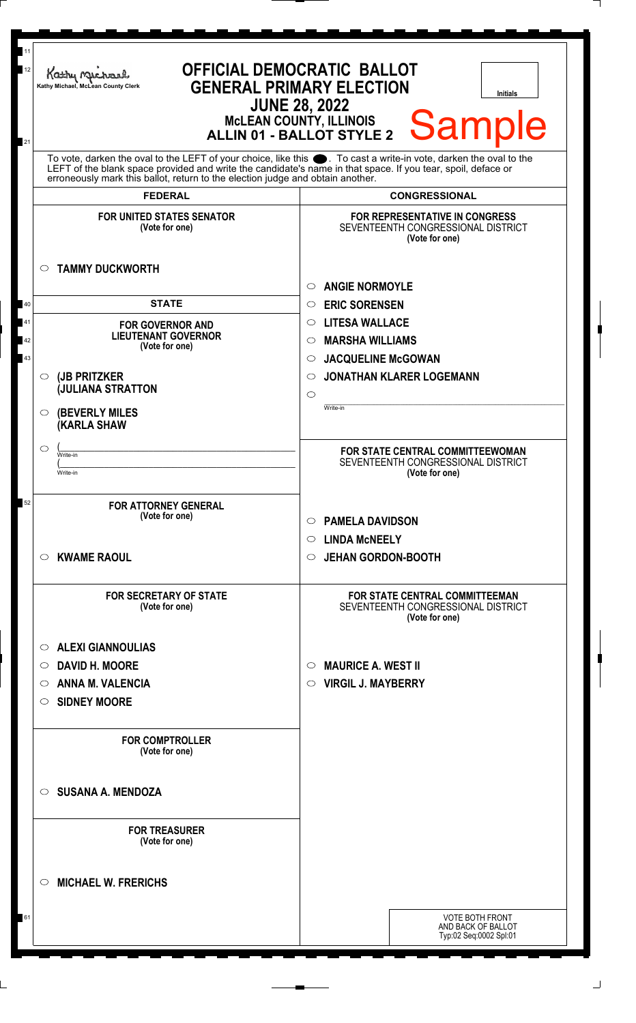| 11<br>12                                                                                                                                                                                                                                     | <b>OFFICIAL DEMOCRATIC BALLOT</b><br>Kathy Michael<br><b>GENERAL PRIMARY ELECTION</b><br>Kathy Michael, McLean County Clerk<br><b>Initials</b><br><b>JUNE 28, 2022</b><br><b>Sample</b> |                                                                                                                                        |                                                                                          |  |  |
|----------------------------------------------------------------------------------------------------------------------------------------------------------------------------------------------------------------------------------------------|-----------------------------------------------------------------------------------------------------------------------------------------------------------------------------------------|----------------------------------------------------------------------------------------------------------------------------------------|------------------------------------------------------------------------------------------|--|--|
| McLEAN COUNTY, ILLINOIS<br>ALLIN 01 - BALLOT STYLE 2<br>21<br>To vote, darken the oval to the LEFT of your choice, like this<br>LEFT of the blank space provided and write the candidate's name in that space. If you tear, spoil, deface or |                                                                                                                                                                                         |                                                                                                                                        |                                                                                          |  |  |
|                                                                                                                                                                                                                                              | erroneously mark this ballot, return to the election judge and obtain another.<br><b>FEDERAL</b>                                                                                        |                                                                                                                                        |                                                                                          |  |  |
|                                                                                                                                                                                                                                              | <b>FOR UNITED STATES SENATOR</b>                                                                                                                                                        | <b>CONGRESSIONAL</b><br><b>FOR REPRESENTATIVE IN CONGRESS</b>                                                                          |                                                                                          |  |  |
| $\circ$                                                                                                                                                                                                                                      | (Vote for one)<br><b>TAMMY DUCKWORTH</b>                                                                                                                                                |                                                                                                                                        | SEVENTEENTH CONGRESSIONAL DISTRICT<br>(Vote for one)                                     |  |  |
|                                                                                                                                                                                                                                              |                                                                                                                                                                                         | <b>ANGIE NORMOYLE</b><br>O<br><b>ERIC SORENSEN</b><br>$\circ$<br><b>LITESA WALLACE</b><br>$\circ$<br><b>MARSHA WILLIAMS</b><br>$\circ$ |                                                                                          |  |  |
| 40                                                                                                                                                                                                                                           | <b>STATE</b>                                                                                                                                                                            |                                                                                                                                        |                                                                                          |  |  |
| 41<br>42                                                                                                                                                                                                                                     | <b>FOR GOVERNOR AND</b><br><b>LIEUTENANT GOVERNOR</b><br>(Vote for one)                                                                                                                 |                                                                                                                                        |                                                                                          |  |  |
| 43                                                                                                                                                                                                                                           |                                                                                                                                                                                         |                                                                                                                                        |                                                                                          |  |  |
| $\circ$                                                                                                                                                                                                                                      | (JB PRITZKER                                                                                                                                                                            |                                                                                                                                        | <b>JACQUELINE McGOWAN</b><br>$\circ$<br><b>JONATHAN KLARER LOGEMANN</b><br>$\circ$       |  |  |
|                                                                                                                                                                                                                                              | <b>JULIANA STRATTON</b>                                                                                                                                                                 | $\circ$                                                                                                                                |                                                                                          |  |  |
| $\circ$                                                                                                                                                                                                                                      | <b>(BEVERLY MILES)</b><br><b>(KARLA SHAW</b>                                                                                                                                            | Write-in                                                                                                                               |                                                                                          |  |  |
| $\circ$<br>Write-in<br>Write-in                                                                                                                                                                                                              |                                                                                                                                                                                         |                                                                                                                                        | FOR STATE CENTRAL COMMITTEEWOMAN<br>SEVENTEENTH CONGRESSIONAL DISTRICT<br>(Vote for one) |  |  |
| 52                                                                                                                                                                                                                                           | <b>FOR ATTORNEY GENERAL</b><br>(Vote for one)                                                                                                                                           | <b>PAMELA DAVIDSON</b><br>$\circ$                                                                                                      |                                                                                          |  |  |
| $\circ$                                                                                                                                                                                                                                      | <b>KWAME RAOUL</b>                                                                                                                                                                      | <b>LINDA MCNEELY</b><br>O<br><b>JEHAN GORDON-BOOTH</b><br>$\circ$                                                                      |                                                                                          |  |  |
|                                                                                                                                                                                                                                              | <b>FOR SECRETARY OF STATE</b><br>(Vote for one)                                                                                                                                         | <b>FOR STATE CENTRAL COMMITTEEMAN</b><br>SEVENTEENTH CONGRESSIONAL DISTRICT<br>(Vote for one)                                          |                                                                                          |  |  |
| $\circ$                                                                                                                                                                                                                                      | <b>ALEXI GIANNOULIAS</b>                                                                                                                                                                |                                                                                                                                        |                                                                                          |  |  |
| $\circ$                                                                                                                                                                                                                                      | <b>DAVID H. MOORE</b>                                                                                                                                                                   | O                                                                                                                                      | <b>MAURICE A. WEST II</b>                                                                |  |  |
| $\circ$                                                                                                                                                                                                                                      | <b>ANNA M. VALENCIA</b>                                                                                                                                                                 | <b>VIRGIL J. MAYBERRY</b><br>$\circ$                                                                                                   |                                                                                          |  |  |
| $\circ$                                                                                                                                                                                                                                      | <b>SIDNEY MOORE</b>                                                                                                                                                                     |                                                                                                                                        |                                                                                          |  |  |
|                                                                                                                                                                                                                                              | <b>FOR COMPTROLLER</b><br>(Vote for one)                                                                                                                                                |                                                                                                                                        |                                                                                          |  |  |
| $\circ$                                                                                                                                                                                                                                      | <b>SUSANA A. MENDOZA</b>                                                                                                                                                                |                                                                                                                                        |                                                                                          |  |  |
|                                                                                                                                                                                                                                              | <b>FOR TREASURER</b><br>(Vote for one)                                                                                                                                                  |                                                                                                                                        |                                                                                          |  |  |
| $\circ$                                                                                                                                                                                                                                      | <b>MICHAEL W. FRERICHS</b>                                                                                                                                                              |                                                                                                                                        |                                                                                          |  |  |
| 61                                                                                                                                                                                                                                           |                                                                                                                                                                                         |                                                                                                                                        | <b>VOTE BOTH FRONT</b><br>AND BACK OF BALLOT<br>Typ:02 Seq:0002 Spl:01                   |  |  |

L,